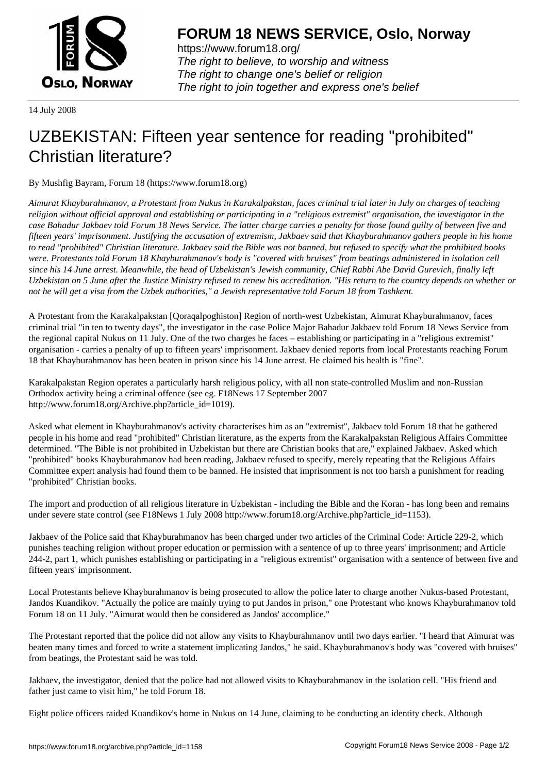

https://www.forum18.org/ The right to believe, to worship and witness The right to change one's belief or religion [The right to join together a](https://www.forum18.org/)nd express one's belief

14 July 2008

## [UZBEKISTAN:](https://www.forum18.org) Fifteen year sentence for reading "prohibited" Christian literature?

By Mushfig Bayram, Forum 18 (https://www.forum18.org)

*Aimurat Khayburahmanov, a Protestant from Nukus in Karakalpakstan, faces criminal trial later in July on charges of teaching religion without official approval and establishing or participating in a "religious extremist" organisation, the investigator in the case Bahadur Jakbaev told Forum 18 News Service. The latter charge carries a penalty for those found guilty of between five and fifteen years' imprisonment. Justifying the accusation of extremism, Jakbaev said that Khayburahmanov gathers people in his home to read "prohibited" Christian literature. Jakbaev said the Bible was not banned, but refused to specify what the prohibited books were. Protestants told Forum 18 Khayburahmanov's body is "covered with bruises" from beatings administered in isolation cell since his 14 June arrest. Meanwhile, the head of Uzbekistan's Jewish community, Chief Rabbi Abe David Gurevich, finally left Uzbekistan on 5 June after the Justice Ministry refused to renew his accreditation. "His return to the country depends on whether or not he will get a visa from the Uzbek authorities," a Jewish representative told Forum 18 from Tashkent.*

A Protestant from the Karakalpakstan [Qoraqalpoghiston] Region of north-west Uzbekistan, Aimurat Khayburahmanov, faces criminal trial "in ten to twenty days", the investigator in the case Police Major Bahadur Jakbaev told Forum 18 News Service from the regional capital Nukus on 11 July. One of the two charges he faces – establishing or participating in a "religious extremist" organisation - carries a penalty of up to fifteen years' imprisonment. Jakbaev denied reports from local Protestants reaching Forum 18 that Khayburahmanov has been beaten in prison since his 14 June arrest. He claimed his health is "fine".

Karakalpakstan Region operates a particularly harsh religious policy, with all non state-controlled Muslim and non-Russian Orthodox activity being a criminal offence (see eg. F18News 17 September 2007 http://www.forum18.org/Archive.php?article\_id=1019).

Asked what element in Khayburahmanov's activity characterises him as an "extremist", Jakbaev told Forum 18 that he gathered people in his home and read "prohibited" Christian literature, as the experts from the Karakalpakstan Religious Affairs Committee determined. "The Bible is not prohibited in Uzbekistan but there are Christian books that are," explained Jakbaev. Asked which "prohibited" books Khayburahmanov had been reading, Jakbaev refused to specify, merely repeating that the Religious Affairs Committee expert analysis had found them to be banned. He insisted that imprisonment is not too harsh a punishment for reading "prohibited" Christian books.

The import and production of all religious literature in Uzbekistan - including the Bible and the Koran - has long been and remains under severe state control (see F18News 1 July 2008 http://www.forum18.org/Archive.php?article\_id=1153).

Jakbaev of the Police said that Khayburahmanov has been charged under two articles of the Criminal Code: Article 229-2, which punishes teaching religion without proper education or permission with a sentence of up to three years' imprisonment; and Article 244-2, part 1, which punishes establishing or participating in a "religious extremist" organisation with a sentence of between five and fifteen years' imprisonment.

Local Protestants believe Khayburahmanov is being prosecuted to allow the police later to charge another Nukus-based Protestant, Jandos Kuandikov. "Actually the police are mainly trying to put Jandos in prison," one Protestant who knows Khayburahmanov told Forum 18 on 11 July. "Aimurat would then be considered as Jandos' accomplice."

The Protestant reported that the police did not allow any visits to Khayburahmanov until two days earlier. "I heard that Aimurat was beaten many times and forced to write a statement implicating Jandos," he said. Khayburahmanov's body was "covered with bruises" from beatings, the Protestant said he was told.

Jakbaev, the investigator, denied that the police had not allowed visits to Khayburahmanov in the isolation cell. "His friend and father just came to visit him," he told Forum 18.

Eight police officers raided Kuandikov's home in Nukus on 14 June, claiming to be conducting an identity check. Although